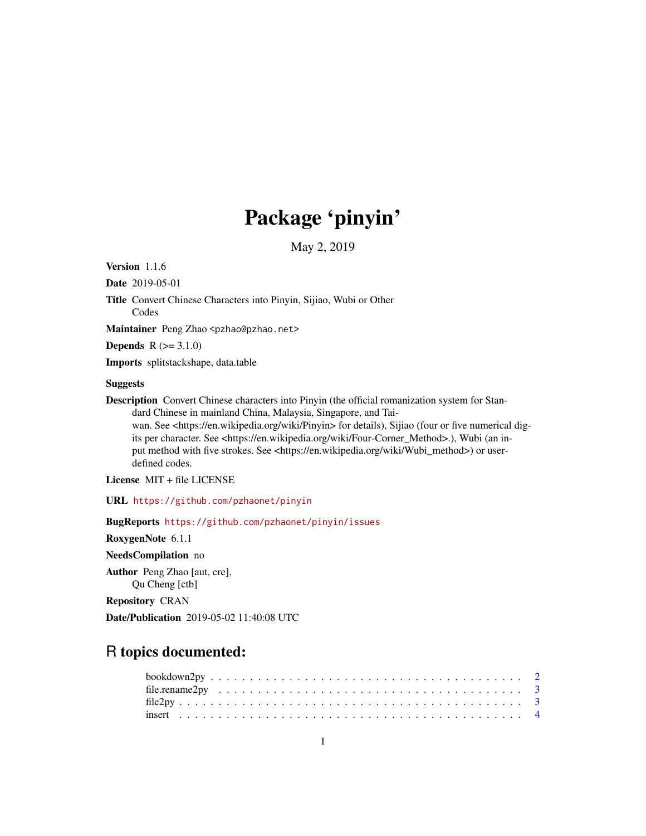## Package 'pinyin'

May 2, 2019

Version 1.1.6

Date 2019-05-01

Title Convert Chinese Characters into Pinyin, Sijiao, Wubi or Other Codes

Maintainer Peng Zhao <pzhao@pzhao.net>

**Depends**  $R (= 3.1.0)$ 

Imports splitstackshape, data.table

## Suggests

Description Convert Chinese characters into Pinyin (the official romanization system for Standard Chinese in mainland China, Malaysia, Singapore, and Tai-

wan. See <https://en.wikipedia.org/wiki/Pinyin> for details), Sijiao (four or five numerical digits per character. See <https://en.wikipedia.org/wiki/Four-Corner\_Method>.), Wubi (an input method with five strokes. See <https://en.wikipedia.org/wiki/Wubi\_method>) or userdefined codes.

License MIT + file LICENSE

URL <https://github.com/pzhaonet/pinyin>

BugReports <https://github.com/pzhaonet/pinyin/issues>

RoxygenNote 6.1.1

NeedsCompilation no

Author Peng Zhao [aut, cre], Qu Cheng [ctb]

Repository CRAN

Date/Publication 2019-05-02 11:40:08 UTC

## R topics documented: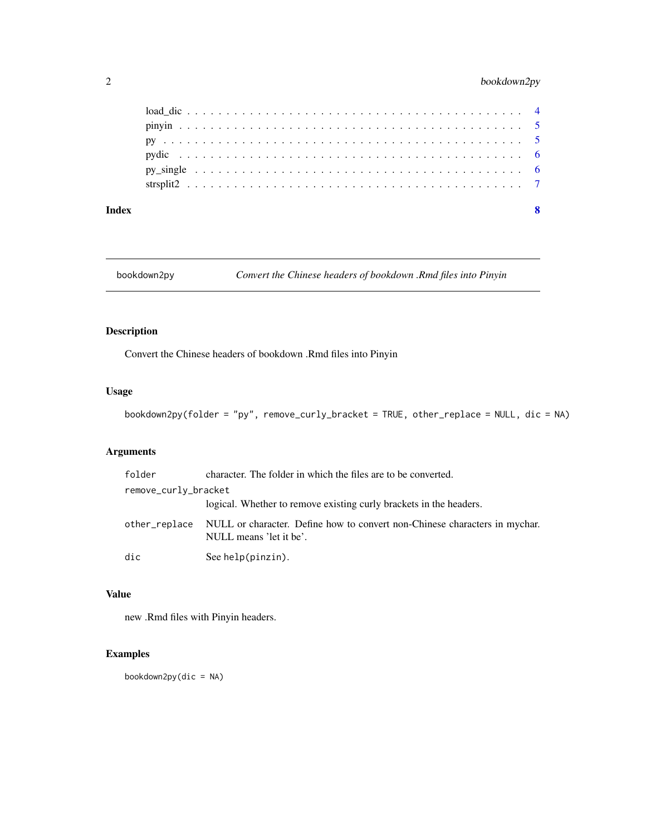## <span id="page-1-0"></span>2 bookdown2py

#### **Index** [8](#page-7-0) **8**

bookdown2py *Convert the Chinese headers of bookdown .Rmd files into Pinyin*

## Description

Convert the Chinese headers of bookdown .Rmd files into Pinyin

#### Usage

bookdown2py(folder = "py", remove\_curly\_bracket = TRUE, other\_replace = NULL, dic = NA)

## Arguments

| folder               | character. The folder in which the files are to be converted.                                         |  |  |  |  |  |  |  |  |
|----------------------|-------------------------------------------------------------------------------------------------------|--|--|--|--|--|--|--|--|
| remove_curly_bracket |                                                                                                       |  |  |  |  |  |  |  |  |
|                      | logical. Whether to remove existing curly brackets in the headers.                                    |  |  |  |  |  |  |  |  |
| other_replace        | NULL or character. Define how to convert non-Chinese characters in mychar.<br>NULL means 'let it be'. |  |  |  |  |  |  |  |  |
| dic                  | See help(pinzin).                                                                                     |  |  |  |  |  |  |  |  |

#### Value

new .Rmd files with Pinyin headers.

## Examples

 $bookdown2py(dic = NA)$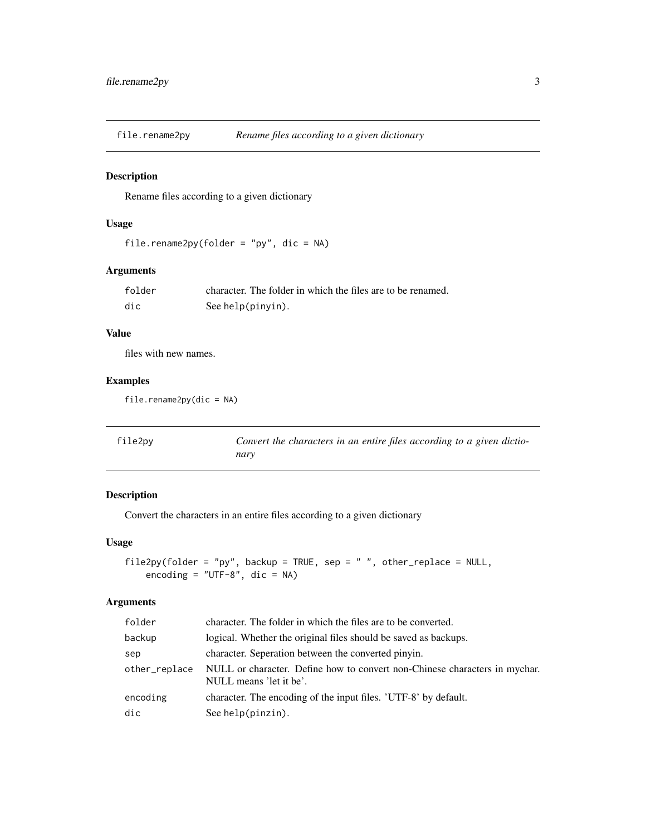<span id="page-2-0"></span>

#### Description

Rename files according to a given dictionary

## Usage

```
file.rename2py(folder = "py", dic = NA)
```
## Arguments

| folder | character. The folder in which the files are to be renamed. |
|--------|-------------------------------------------------------------|
| dic    | See help(pinyin).                                           |

#### Value

files with new names.

## Examples

file.rename2py(dic = NA)

| file2py | Convert the characters in an entire files according to a given dictio- |
|---------|------------------------------------------------------------------------|
|         | narv                                                                   |

## Description

Convert the characters in an entire files according to a given dictionary

## Usage

```
file2py(folder = "py", backup = TRUE, sep = " ", other_replace = NULL,
 encoding = "UTF-8", dic = NA)
```
## Arguments

| folder        | character. The folder in which the files are to be converted.                                         |
|---------------|-------------------------------------------------------------------------------------------------------|
| backup        | logical. Whether the original files should be saved as backups.                                       |
| sep           | character. Seperation between the converted pinyin.                                                   |
| other_replace | NULL or character. Define how to convert non-Chinese characters in mychar.<br>NULL means 'let it be'. |
| encoding      | character. The encoding of the input files. 'UTF-8' by default.                                       |
| dic           | See help(pinzin).                                                                                     |
|               |                                                                                                       |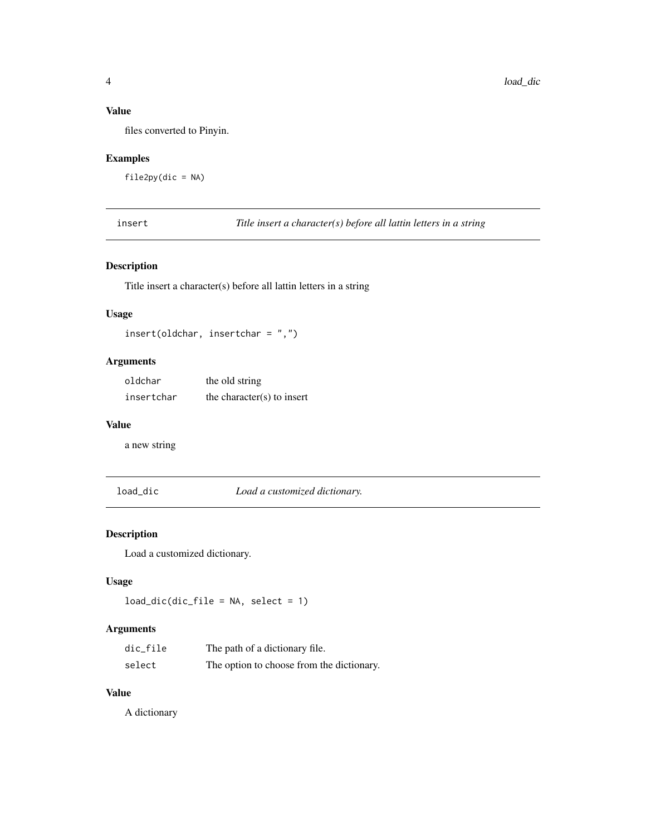## <span id="page-3-0"></span>Value

files converted to Pinyin.

## Examples

file2py(dic = NA)

insert *Title insert a character(s) before all lattin letters in a string*

## Description

Title insert a character(s) before all lattin letters in a string

#### Usage

insert(oldchar, insertchar = ",")

## Arguments

| oldchar    | the old string             |
|------------|----------------------------|
| insertchar | the character(s) to insert |

#### Value

a new string

load\_dic *Load a customized dictionary.*

## Description

Load a customized dictionary.

## Usage

load\_dic(dic\_file = NA, select = 1)

## Arguments

| dic_file | The path of a dictionary file.            |
|----------|-------------------------------------------|
| select   | The option to choose from the dictionary. |

## Value

A dictionary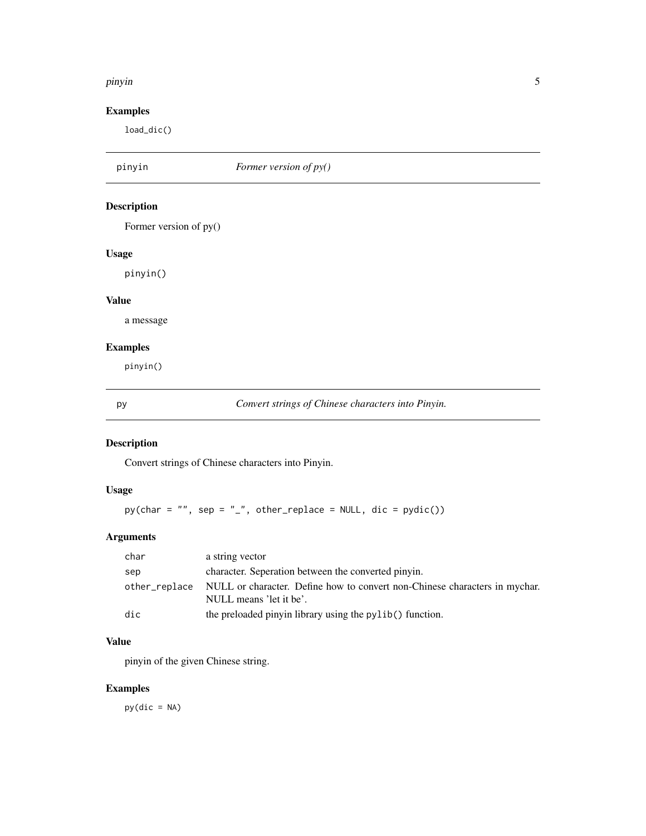#### <span id="page-4-0"></span>pinyin 5

## Examples

load\_dic()

| pinyin                 | Former version of py()                             |
|------------------------|----------------------------------------------------|
| <b>Description</b>     |                                                    |
| Former version of py() |                                                    |
| <b>Usage</b>           |                                                    |
| pinyin()               |                                                    |
| <b>Value</b>           |                                                    |
| a message              |                                                    |
| <b>Examples</b>        |                                                    |
| pinyin()               |                                                    |
| рy                     | Convert strings of Chinese characters into Pinyin. |

## Description

Convert strings of Chinese characters into Pinyin.

## Usage

 $py(char = "", sep = "__", other_replace = NULL, dic = pydic())$ 

## Arguments

| char          | a string vector                                                                                       |
|---------------|-------------------------------------------------------------------------------------------------------|
| sep           | character. Seperation between the converted pinyin.                                                   |
| other_replace | NULL or character. Define how to convert non-Chinese characters in mychar.<br>NULL means 'let it be'. |
| dic           | the preloaded pinyin library using the pylib() function.                                              |

## Value

pinyin of the given Chinese string.

## Examples

 $py(dic = NA)$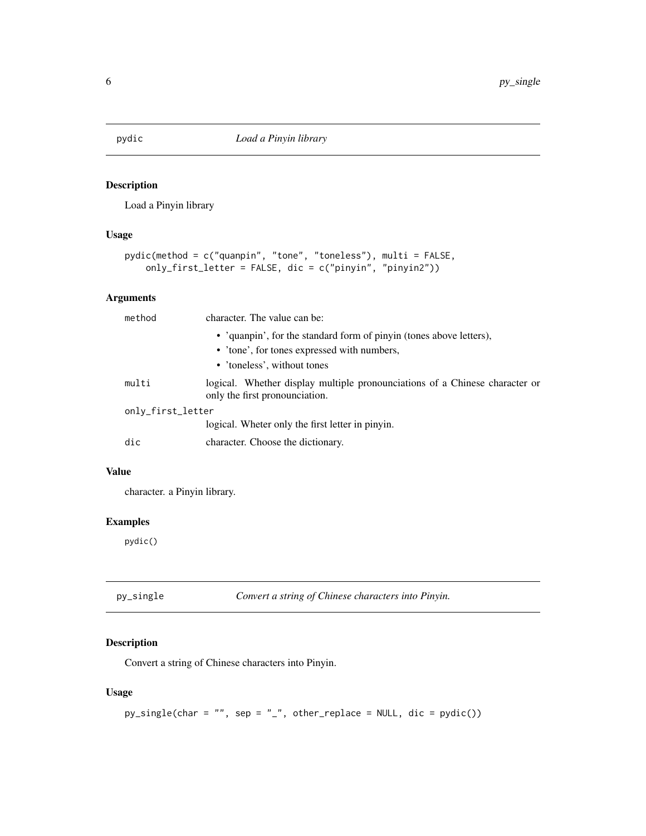<span id="page-5-0"></span>

## Description

Load a Pinyin library

#### Usage

```
pydic(method = c("quanpin", "tone", "toneless"), multi = FALSE,
only_first_letter = FALSE, dic = c("pinyin", "pinyin2"))
```
#### Arguments

| method            | character. The value can be:                                                                                  |  |  |  |  |  |  |
|-------------------|---------------------------------------------------------------------------------------------------------------|--|--|--|--|--|--|
|                   | • 'quanpin', for the standard form of pinyin (tones above letters),                                           |  |  |  |  |  |  |
|                   | • 'tone', for tones expressed with numbers,                                                                   |  |  |  |  |  |  |
|                   | • 'toneless', without tones                                                                                   |  |  |  |  |  |  |
| multi             | logical. Whether display multiple pronounciations of a Chinese character or<br>only the first pronounciation. |  |  |  |  |  |  |
| only_first_letter |                                                                                                               |  |  |  |  |  |  |
|                   | logical. Wheter only the first letter in pinyin.                                                              |  |  |  |  |  |  |
| dic               | character. Choose the dictionary.                                                                             |  |  |  |  |  |  |

#### Value

character. a Pinyin library.

## Examples

pydic()

| Convert a string of Chinese characters into Pinyin.<br>py_single |  |
|------------------------------------------------------------------|--|
|------------------------------------------------------------------|--|

## Description

Convert a string of Chinese characters into Pinyin.

## Usage

```
py\_single(char = "", sep = "__", other\_replace = NULL, dic = pydic())
```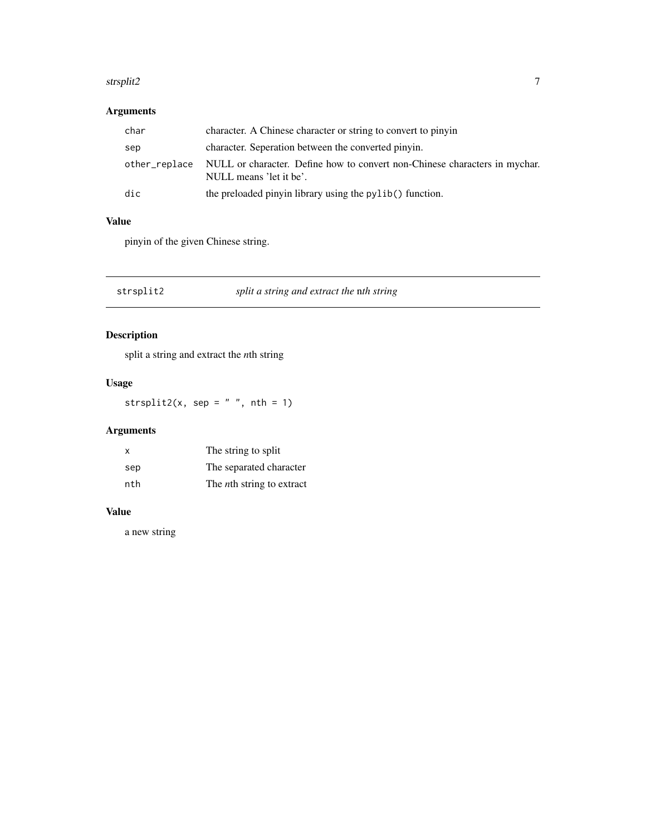#### <span id="page-6-0"></span>strsplit2 7 and 2012 12:00 the strip of the strength of the strength of the strength of the strength of the strength of the strength of the strength of the strength of the strength of the strength of the strength of the st

## Arguments

| char          | character. A Chinese character or string to convert to pinyin                                         |
|---------------|-------------------------------------------------------------------------------------------------------|
| sep           | character. Seperation between the converted pinyin.                                                   |
| other_replace | NULL or character. Define how to convert non-Chinese characters in mychar.<br>NULL means 'let it be'. |
| dic           | the preloaded pinyin library using the pylib() function.                                              |

## Value

pinyin of the given Chinese string.

strsplit2 *split a string and extract the* n*th string*

## Description

split a string and extract the *n*th string

## Usage

strsplit2(x, sep =  $" "$ , nth = 1)

## Arguments

| X   | The string to split               |
|-----|-----------------------------------|
| sep | The separated character           |
| nth | The <i>n</i> th string to extract |

## Value

a new string